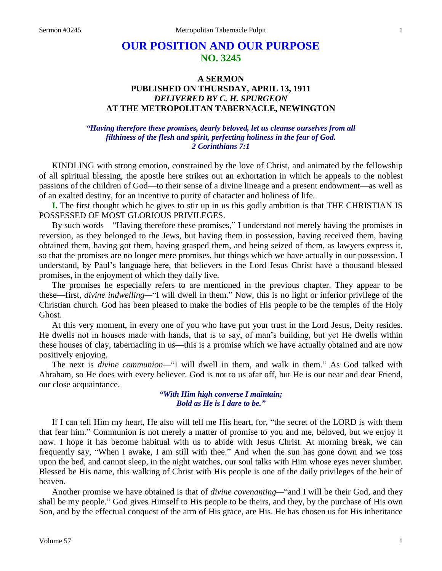# **OUR POSITION AND OUR PURPOSE NO. 3245**

## **A SERMON PUBLISHED ON THURSDAY, APRIL 13, 1911** *DELIVERED BY C. H. SPURGEON* **AT THE METROPOLITAN TABERNACLE, NEWINGTON**

### *"Having therefore these promises, dearly beloved, let us cleanse ourselves from all filthiness of the flesh and spirit, perfecting holiness in the fear of God. 2 Corinthians 7:1*

KINDLING with strong emotion, constrained by the love of Christ, and animated by the fellowship of all spiritual blessing, the apostle here strikes out an exhortation in which he appeals to the noblest passions of the children of God—to their sense of a divine lineage and a present endowment—as well as of an exalted destiny, for an incentive to purity of character and holiness of life.

**I.** The first thought which he gives to stir up in us this godly ambition is that THE CHRISTIAN IS POSSESSED OF MOST GLORIOUS PRIVILEGES.

By such words—"Having therefore these promises," I understand not merely having the promises in reversion, as they belonged to the Jews, but having them in possession, having received them, having obtained them, having got them, having grasped them, and being seized of them, as lawyers express it, so that the promises are no longer mere promises, but things which we have actually in our possession. I understand, by Paul's language here, that believers in the Lord Jesus Christ have a thousand blessed promises, in the enjoyment of which they daily live.

The promises he especially refers to are mentioned in the previous chapter. They appear to be these—first, *divine indwelling—*"I will dwell in them." Now, this is no light or inferior privilege of the Christian church. God has been pleased to make the bodies of His people to be the temples of the Holy Ghost.

At this very moment, in every one of you who have put your trust in the Lord Jesus, Deity resides. He dwells not in houses made with hands, that is to say, of man's building, but yet He dwells within these houses of clay, tabernacling in us—this is a promise which we have actually obtained and are now positively enjoying.

The next is *divine communion—*"I will dwell in them, and walk in them." As God talked with Abraham, so He does with every believer. God is not to us afar off, but He is our near and dear Friend, our close acquaintance.

> *"With Him high converse I maintain; Bold as He is I dare to be."*

If I can tell Him my heart, He also will tell me His heart, for, "the secret of the LORD is with them that fear him." Communion is not merely a matter of promise to you and me, beloved, but we enjoy it now. I hope it has become habitual with us to abide with Jesus Christ. At morning break, we can frequently say, "When I awake, I am still with thee." And when the sun has gone down and we toss upon the bed, and cannot sleep, in the night watches, our soul talks with Him whose eyes never slumber. Blessed be His name, this walking of Christ with His people is one of the daily privileges of the heir of heaven.

Another promise we have obtained is that of *divine covenanting—*"and I will be their God, and they shall be my people." God gives Himself to His people to be theirs, and they, by the purchase of His own Son, and by the effectual conquest of the arm of His grace, are His. He has chosen us for His inheritance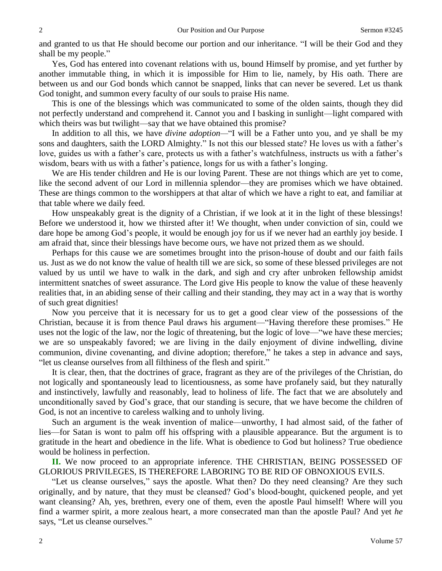and granted to us that He should become our portion and our inheritance. "I will be their God and they shall be my people."

Yes, God has entered into covenant relations with us, bound Himself by promise, and yet further by another immutable thing, in which it is impossible for Him to lie, namely, by His oath. There are between us and our God bonds which cannot be snapped, links that can never be severed. Let us thank God tonight, and summon every faculty of our souls to praise His name.

This is one of the blessings which was communicated to some of the olden saints, though they did not perfectly understand and comprehend it. Cannot you and I basking in sunlight—light compared with which theirs was but twilight—say that we have obtained this promise?

In addition to all this, we have *divine adoption—*"I will be a Father unto you, and ye shall be my sons and daughters, saith the LORD Almighty." Is not this our blessed state? He loves us with a father's love, guides us with a father's care, protects us with a father's watchfulness, instructs us with a father's wisdom, bears with us with a father's patience, longs for us with a father's longing.

We are His tender children and He is our loving Parent. These are not things which are yet to come, like the second advent of our Lord in millennia splendor—they are promises which we have obtained. These are things common to the worshippers at that altar of which we have a right to eat, and familiar at that table where we daily feed.

How unspeakably great is the dignity of a Christian, if we look at it in the light of these blessings! Before we understood it, how we thirsted after it! We thought, when under conviction of sin, could we dare hope be among God's people, it would be enough joy for us if we never had an earthly joy beside. I am afraid that, since their blessings have become ours, we have not prized them as we should.

Perhaps for this cause we are sometimes brought into the prison-house of doubt and our faith fails us. Just as we do not know the value of health till we are sick, so some of these blessed privileges are not valued by us until we have to walk in the dark, and sigh and cry after unbroken fellowship amidst intermittent snatches of sweet assurance. The Lord give His people to know the value of these heavenly realities that, in an abiding sense of their calling and their standing, they may act in a way that is worthy of such great dignities!

Now you perceive that it is necessary for us to get a good clear view of the possessions of the Christian, because it is from thence Paul draws his argument—"Having therefore these promises." He uses not the logic of the law, nor the logic of threatening, but the logic of love—"we have these mercies; we are so unspeakably favored; we are living in the daily enjoyment of divine indwelling, divine communion, divine covenanting, and divine adoption; therefore," he takes a step in advance and says, "let us cleanse ourselves from all filthiness of the flesh and spirit."

It is clear, then, that the doctrines of grace, fragrant as they are of the privileges of the Christian, do not logically and spontaneously lead to licentiousness, as some have profanely said, but they naturally and instinctively, lawfully and reasonably, lead to holiness of life. The fact that we are absolutely and unconditionally saved by God's grace, that our standing is secure, that we have become the children of God, is not an incentive to careless walking and to unholy living.

Such an argument is the weak invention of malice—unworthy, I had almost said, of the father of lies—for Satan is wont to palm off his offspring with a plausible appearance. But the argument is to gratitude in the heart and obedience in the life. What is obedience to God but holiness? True obedience would be holiness in perfection.

**II.** We now proceed to an appropriate inference. THE CHRISTIAN, BEING POSSESSED OF GLORIOUS PRIVILEGES, IS THEREFORE LABORING TO BE RID OF OBNOXIOUS EVILS.

"Let us cleanse ourselves," says the apostle. What then? Do they need cleansing? Are they such originally, and by nature, that they must be cleansed? God's blood-bought, quickened people, and yet want cleansing? Ah, yes, brethren, every one of them, even the apostle Paul himself! Where will you find a warmer spirit, a more zealous heart, a more consecrated man than the apostle Paul? And yet *he*  says, "Let us cleanse ourselves."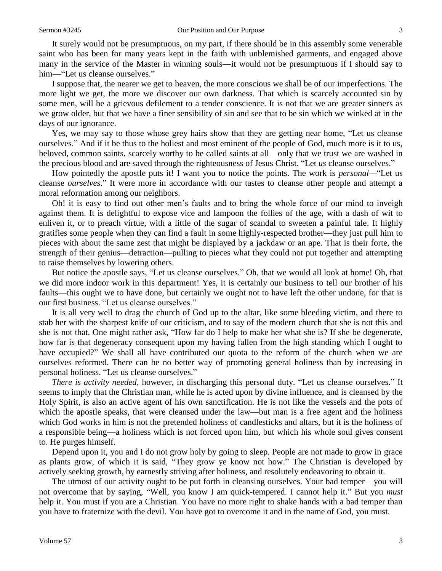It surely would not be presumptuous, on my part, if there should be in this assembly some venerable saint who has been for many years kept in the faith with unblemished garments, and engaged above many in the service of the Master in winning souls—it would not be presumptuous if I should say to him—"Let us cleanse ourselves."

I suppose that, the nearer we get to heaven, the more conscious we shall be of our imperfections. The more light we get, the more we discover our own darkness. That which is scarcely accounted sin by some men, will be a grievous defilement to a tender conscience. It is not that we are greater sinners as we grow older, but that we have a finer sensibility of sin and see that to be sin which we winked at in the days of our ignorance.

Yes, we may say to those whose grey hairs show that they are getting near home, "Let us cleanse ourselves." And if it be thus to the holiest and most eminent of the people of God, much more is it to us, beloved, common saints, scarcely worthy to be called saints at all—only that we trust we are washed in the precious blood and are saved through the righteousness of Jesus Christ. "Let *us* cleanse ourselves."

How pointedly the apostle puts it! I want you to notice the points. The work is *personal—*"Let us cleanse *ourselves*." It were more in accordance with our tastes to cleanse other people and attempt a moral reformation among our neighbors.

Oh! it is easy to find out other men's faults and to bring the whole force of our mind to inveigh against them. It is delightful to expose vice and lampoon the follies of the age, with a dash of wit to enliven it, or to preach virtue, with a little of the sugar of scandal to sweeten a painful tale. It highly gratifies some people when they can find a fault in some highly-respected brother—they just pull him to pieces with about the same zest that might be displayed by a jackdaw or an ape. That is their forte, the strength of their genius—detraction—pulling to pieces what they could not put together and attempting to raise themselves by lowering others.

But notice the apostle says, "Let us cleanse ourselves." Oh, that we would all look at home! Oh, that we did more indoor work in this department! Yes, it is certainly our business to tell our brother of his faults—this ought we to have done, but certainly we ought not to have left the other undone, for that is our first business. "Let us cleanse ourselves."

It is all very well to drag the church of God up to the altar, like some bleeding victim, and there to stab her with the sharpest knife of our criticism, and to say of the modern church that she is not this and she is not that. One might rather ask, "How far do I help to make her what she is? If she be degenerate, how far is that degeneracy consequent upon my having fallen from the high standing which I ought to have occupied?" We shall all have contributed our quota to the reform of the church when we are ourselves reformed. There can be no better way of promoting general holiness than by increasing in personal holiness. "Let us cleanse ourselves."

*There is activity needed,* however, in discharging this personal duty. "Let us cleanse ourselves." It seems to imply that the Christian man, while he is acted upon by divine influence, and is cleansed by the Holy Spirit, is also an active agent of his own sanctification. He is not like the vessels and the pots of which the apostle speaks, that were cleansed under the law—but man is a free agent and the holiness which God works in him is not the pretended holiness of candlesticks and altars, but it is the holiness of a responsible being—a holiness which is not forced upon him, but which his whole soul gives consent to. He purges himself.

Depend upon it, you and I do not grow holy by going to sleep. People are not made to grow in grace as plants grow, of which it is said, "They grow ye know not how." The Christian is developed by actively seeking growth, by earnestly striving after holiness, and resolutely endeavoring to obtain it.

The utmost of our activity ought to be put forth in cleansing ourselves. Your bad temper—you will not overcome that by saying, "Well, you know I am quick-tempered. I cannot help it." But you *must*  help it. You must if you are a Christian. You have no more right to shake hands with a bad temper than you have to fraternize with the devil. You have got to overcome it and in the name of God, you must.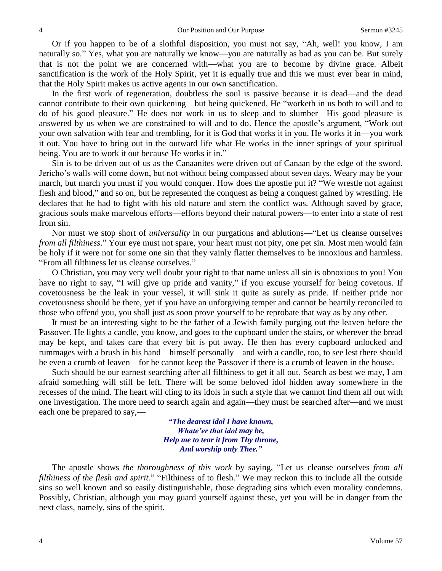Or if you happen to be of a slothful disposition, you must not say, "Ah, well! you know, I am naturally so." Yes, what you are naturally we know—you are naturally as bad as you can be. But surely that is not the point we are concerned with—what you are to become by divine grace. Albeit sanctification is the work of the Holy Spirit, yet it is equally true and this we must ever bear in mind, that the Holy Spirit makes us active agents in our own sanctification.

In the first work of regeneration, doubtless the soul is passive because it is dead—and the dead cannot contribute to their own quickening—but being quickened, He "worketh in us both to will and to do of his good pleasure." He does not work in us to sleep and to slumber—His good pleasure is answered by us when we are constrained to will and to do. Hence the apostle's argument, "Work out your own salvation with fear and trembling, for it is God that works it in you. He works it in—you work it out. You have to bring out in the outward life what He works in the inner springs of your spiritual being. You are to work it out because He works it in."

Sin is to be driven out of us as the Canaanites were driven out of Canaan by the edge of the sword. Jericho's walls will come down, but not without being compassed about seven days. Weary may be your march, but march you must if you would conquer. How does the apostle put it? "We wrestle not against flesh and blood," and so on, but he represented the conquest as being a conquest gained by wrestling. He declares that he had to fight with his old nature and stern the conflict was. Although saved by grace, gracious souls make marvelous efforts—efforts beyond their natural powers—to enter into a state of rest from sin.

Nor must we stop short of *universality* in our purgations and ablutions—"Let us cleanse ourselves *from all filthiness*." Your eye must not spare, your heart must not pity, one pet sin. Most men would fain be holy if it were not for some one sin that they vainly flatter themselves to be innoxious and harmless. "From all filthiness let us cleanse ourselves."

O Christian, you may very well doubt your right to that name unless all sin is obnoxious to you! You have no right to say, "I will give up pride and vanity," if you excuse yourself for being covetous. If covetousness be the leak in your vessel, it will sink it quite as surely as pride. If neither pride nor covetousness should be there, yet if you have an unforgiving temper and cannot be heartily reconciled to those who offend you, you shall just as soon prove yourself to be reprobate that way as by any other.

It must be an interesting sight to be the father of a Jewish family purging out the leaven before the Passover. He lights a candle, you know, and goes to the cupboard under the stairs, or wherever the bread may be kept, and takes care that every bit is put away. He then has every cupboard unlocked and rummages with a brush in his hand—himself personally—and with a candle, too, to see lest there should be even a crumb of leaven—for he cannot keep the Passover if there is a crumb of leaven in the house.

Such should be our earnest searching after all filthiness to get it all out. Search as best we may, I am afraid something will still be left. There will be some beloved idol hidden away somewhere in the recesses of the mind. The heart will cling to its idols in such a style that we cannot find them all out with one investigation. The more need to search again and again—they must be searched after—and we must each one be prepared to say,—

> *"The dearest idol I have known, Whate'er that idol may be, Help me to tear it from Thy throne, And worship only Thee."*

The apostle shows *the thoroughness of this work* by saying, "Let us cleanse ourselves *from all filthiness of the flesh and spirit.*" "Filthiness of to flesh." We may reckon this to include all the outside sins so well known and so easily distinguishable, those degrading sins which even morality condemns. Possibly, Christian, although you may guard yourself against these, yet you will be in danger from the next class, namely, sins of the spirit.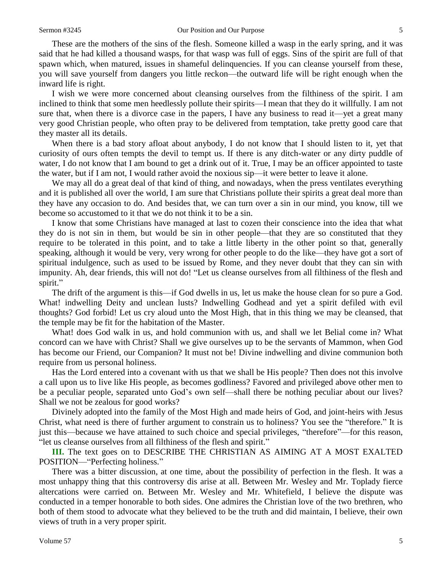These are the mothers of the sins of the flesh. Someone killed a wasp in the early spring, and it was said that he had killed a thousand wasps, for that wasp was full of eggs. Sins of the spirit are full of that spawn which, when matured, issues in shameful delinquencies. If you can cleanse yourself from these, you will save yourself from dangers you little reckon—the outward life will be right enough when the inward life is right.

I wish we were more concerned about cleansing ourselves from the filthiness of the spirit. I am inclined to think that some men heedlessly pollute their spirits—I mean that they do it willfully. I am not sure that, when there is a divorce case in the papers, I have any business to read it—yet a great many very good Christian people, who often pray to be delivered from temptation, take pretty good care that they master all its details.

When there is a bad story afloat about anybody, I do not know that I should listen to it, yet that curiosity of ours often tempts the devil to tempt us. If there is any ditch-water or any dirty puddle of water, I do not know that I am bound to get a drink out of it. True, I may be an officer appointed to taste the water, but if I am not, I would rather avoid the noxious sip—it were better to leave it alone.

We may all do a great deal of that kind of thing, and nowadays, when the press ventilates everything and it is published all over the world, I am sure that Christians pollute their spirits a great deal more than they have any occasion to do. And besides that, we can turn over a sin in our mind, you know, till we become so accustomed to it that we do not think it to be a sin.

I know that some Christians have managed at last to cozen their conscience into the idea that what they do is not sin in them, but would be sin in other people—that they are so constituted that they require to be tolerated in this point, and to take a little liberty in the other point so that, generally speaking, although it would be very, very wrong for other people to do the like—they have got a sort of spiritual indulgence, such as used to be issued by Rome, and they never doubt that they can sin with impunity. Ah, dear friends, this will not do! "Let us cleanse ourselves from all filthiness of the flesh and spirit."

The drift of the argument is this—if God dwells in us, let us make the house clean for so pure a God. What! indwelling Deity and unclean lusts? Indwelling Godhead and yet a spirit defiled with evil thoughts? God forbid! Let us cry aloud unto the Most High, that in this thing we may be cleansed, that the temple may be fit for the habitation of the Master.

What! does God walk in us, and hold communion with us, and shall we let Belial come in? What concord can we have with Christ? Shall we give ourselves up to be the servants of Mammon, when God has become our Friend, our Companion? It must not be! Divine indwelling and divine communion both require from us personal holiness.

Has the Lord entered into a covenant with us that we shall be His people? Then does not this involve a call upon us to live like His people, as becomes godliness? Favored and privileged above other men to be a peculiar people, separated unto God's own self—shall there be nothing peculiar about our lives? Shall we not be zealous for good works?

Divinely adopted into the family of the Most High and made heirs of God, and joint-heirs with Jesus Christ, what need is there of further argument to constrain us to holiness? You see the "therefore." It is just this—because we have attained to such choice and special privileges, "therefore"—for this reason, "let us cleanse ourselves from all filthiness of the flesh and spirit."

**III.** The text goes on to DESCRIBE THE CHRISTIAN AS AIMING AT A MOST EXALTED POSITION—"Perfecting holiness."

There was a bitter discussion, at one time, about the possibility of perfection in the flesh. It was a most unhappy thing that this controversy dis arise at all. Between Mr. Wesley and Mr. Toplady fierce altercations were carried on. Between Mr. Wesley and Mr. Whitefield, I believe the dispute was conducted in a temper honorable to both sides. One admires the Christian love of the two brethren, who both of them stood to advocate what they believed to be the truth and did maintain, I believe, their own views of truth in a very proper spirit.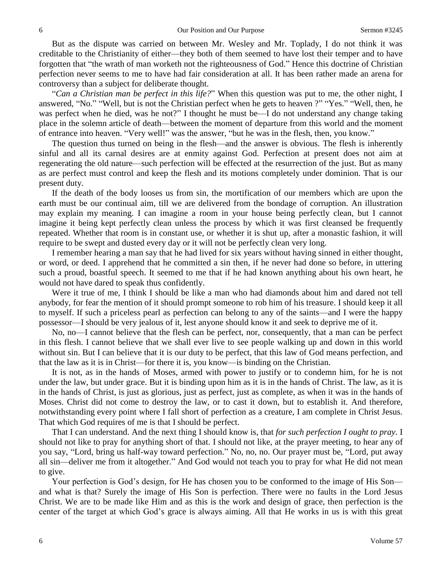But as the dispute was carried on between Mr. Wesley and Mr. Toplady, I do not think it was creditable to the Christianity of either—they both of them seemed to have lost their temper and to have forgotten that "the wrath of man worketh not the righteousness of God." Hence this doctrine of Christian perfection never seems to me to have had fair consideration at all. It has been rather made an arena for controversy than a subject for deliberate thought.

"*Can a Christian man be perfect in this life?*" When this question was put to me, the other night, I answered, "No." "Well, but is not the Christian perfect when he gets to heaven ?" "Yes." "Well, then, he was perfect when he died, was he not?" I thought he must be—I do not understand any change taking place in the solemn article of death—between the moment of departure from this world and the moment of entrance into heaven. "Very well!" was the answer, "but he was in the flesh, then, you know."

The question thus turned on being in the flesh—and the answer is obvious. The flesh is inherently sinful and all its carnal desires are at enmity against God. Perfection at present does not aim at regenerating the old nature—such perfection will be effected at the resurrection of the just. But as many as are perfect must control and keep the flesh and its motions completely under dominion. That is our present duty.

If the death of the body looses us from sin, the mortification of our members which are upon the earth must be our continual aim, till we are delivered from the bondage of corruption. An illustration may explain my meaning. I can imagine a room in your house being perfectly clean, but I cannot imagine it being kept perfectly clean unless the process by which it was first cleansed be frequently repeated. Whether that room is in constant use, or whether it is shut up, after a monastic fashion, it will require to be swept and dusted every day or it will not be perfectly clean very long.

I remember hearing a man say that he had lived for six years without having sinned in either thought, or word, or deed. I apprehend that he committed a sin then, if he never had done so before, in uttering such a proud, boastful speech. It seemed to me that if he had known anything about his own heart, he would not have dared to speak thus confidently.

Were it true of me, I think I should be like a man who had diamonds about him and dared not tell anybody, for fear the mention of it should prompt someone to rob him of his treasure. I should keep it all to myself. If such a priceless pearl as perfection can belong to any of the saints—and I were the happy possessor—I should be very jealous of it, lest anyone should know it and seek to deprive me of it.

No, no—I cannot believe that the flesh can be perfect, nor, consequently, that a man can be perfect in this flesh. I cannot believe that we shall ever live to see people walking up and down in this world without sin. But I can believe that it is our duty to be perfect, that this law of God means perfection, and that the law as it is in Christ—for there it is, you know—is binding on the Christian.

It is not, as in the hands of Moses, armed with power to justify or to condemn him, for he is not under the law, but under grace. But it is binding upon him as it is in the hands of Christ. The law, as it is in the hands of Christ, is just as glorious, just as perfect, just as complete, as when it was in the hands of Moses. Christ did not come to destroy the law, or to cast it down, but to establish it. And therefore, notwithstanding every point where I fall short of perfection as a creature, I am complete in Christ Jesus. That which God requires of me is that I should be perfect.

That I can understand. And the next thing I should know is, that *for such perfection I ought to pray*. I should not like to pray for anything short of that. I should not like, at the prayer meeting, to hear any of you say, "Lord, bring us half-way toward perfection." No, no, no. Our prayer must be, "Lord, put away all sin—deliver me from it altogether." And God would not teach you to pray for what He did not mean to give.

Your perfection is God's design, for He has chosen you to be conformed to the image of His Son and what is that? Surely the image of His Son is perfection. There were no faults in the Lord Jesus Christ. We are to be made like Him and as this is the work and design of grace, then perfection is the center of the target at which God's grace is always aiming. All that He works in us is with this great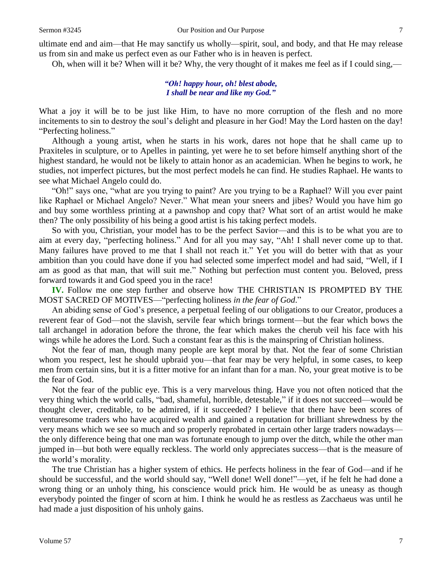ultimate end and aim—that He may sanctify us wholly—spirit, soul, and body, and that He may release us from sin and make us perfect even as our Father who is in heaven is perfect.

Oh, when will it be? When will it be? Why, the very thought of it makes me feel as if I could sing,—

#### *"Oh! happy hour, oh! blest abode, I shall be near and like my God."*

What a joy it will be to be just like Him, to have no more corruption of the flesh and no more incitements to sin to destroy the soul's delight and pleasure in her God! May the Lord hasten on the day! "Perfecting holiness."

Although a young artist, when he starts in his work, dares not hope that he shall came up to Praxiteles in sculpture, or to Apelles in painting, yet were he to set before himself anything short of the highest standard, he would not be likely to attain honor as an academician. When he begins to work, he studies, not imperfect pictures, but the most perfect models he can find. He studies Raphael. He wants to see what Michael Angelo could do.

"Oh!" says one, "what are you trying to paint? Are you trying to be a Raphael? Will you ever paint like Raphael or Michael Angelo? Never." What mean your sneers and jibes? Would you have him go and buy some worthless printing at a pawnshop and copy that? What sort of an artist would he make then? The only possibility of his being a good artist is his taking perfect models.

So with you, Christian, your model has to be the perfect Savior—and this is to be what you are to aim at every day, "perfecting holiness." And for all you may say, "Ah! I shall never come up to that. Many failures have proved to me that I shall not reach it." Yet you will do better with that as your ambition than you could have done if you had selected some imperfect model and had said, "Well, if I am as good as that man, that will suit me." Nothing but perfection must content you. Beloved, press forward towards it and God speed you in the race!

**IV.** Follow me one step further and observe how THE CHRISTIAN IS PROMPTED BY THE MOST SACRED OF MOTIVES—"perfecting holiness *in the fear of God*."

An abiding sense of God's presence, a perpetual feeling of our obligations to our Creator, produces a reverent fear of God—not the slavish, servile fear which brings torment—but the fear which bows the tall archangel in adoration before the throne, the fear which makes the cherub veil his face with his wings while he adores the Lord. Such a constant fear as this is the mainspring of Christian holiness.

Not the fear of man, though many people are kept moral by that. Not the fear of some Christian whom you respect, lest he should upbraid you—that fear may be very helpful, in some cases, to keep men from certain sins, but it is a fitter motive for an infant than for a man. No, your great motive is to be the fear of God.

Not the fear of the public eye. This is a very marvelous thing. Have you not often noticed that the very thing which the world calls, "bad, shameful, horrible, detestable," if it does not succeed—would be thought clever, creditable, to be admired, if it succeeded? I believe that there have been scores of venturesome traders who have acquired wealth and gained a reputation for brilliant shrewdness by the very means which we see so much and so properly reprobated in certain other large traders nowadays the only difference being that one man was fortunate enough to jump over the ditch, while the other man jumped in—but both were equally reckless. The world only appreciates success—that is the measure of the world's morality.

The true Christian has a higher system of ethics. He perfects holiness in the fear of God—and if he should be successful, and the world should say, "Well done! Well done!"—yet, if he felt he had done a wrong thing or an unholy thing, his conscience would prick him. He would be as uneasy as though everybody pointed the finger of scorn at him. I think he would he as restless as Zacchaeus was until he had made a just disposition of his unholy gains.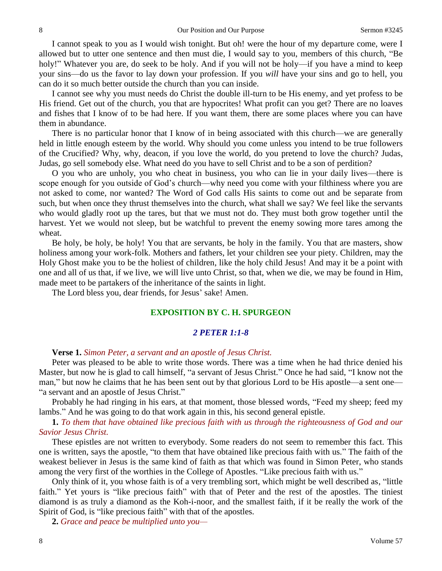I cannot speak to you as I would wish tonight. But oh! were the hour of my departure come, were I allowed but to utter one sentence and then must die, I would say to you, members of this church, "Be holy!" Whatever you are, do seek to be holy. And if you will not be holy—if you have a mind to keep your sins—do us the favor to lay down your profession. If you *will* have your sins and go to hell, you can do it so much better outside the church than you can inside.

I cannot see why you must needs do Christ the double ill-turn to be His enemy, and yet profess to be His friend. Get out of the church, you that are hypocrites! What profit can you get? There are no loaves and fishes that I know of to be had here. If you want them, there are some places where you can have them in abundance.

There is no particular honor that I know of in being associated with this church—we are generally held in little enough esteem by the world. Why should you come unless you intend to be true followers of the Crucified? Why, why, deacon, if you love the world, do you pretend to love the church? Judas, Judas, go sell somebody else. What need do you have to sell Christ and to be a son of perdition?

O you who are unholy, you who cheat in business, you who can lie in your daily lives—there is scope enough for you outside of God's church—why need you come with your filthiness where you are not asked to come, nor wanted? The Word of God calls His saints to come out and be separate from such, but when once they thrust themselves into the church, what shall we say? We feel like the servants who would gladly root up the tares, but that we must not do. They must both grow together until the harvest. Yet we would not sleep, but be watchful to prevent the enemy sowing more tares among the wheat.

Be holy, be holy, be holy! You that are servants, be holy in the family. You that are masters, show holiness among your work-folk. Mothers and fathers, let your children see your piety. Children, may the Holy Ghost make you to be the holiest of children, like the holy child Jesus! And may it be a point with one and all of us that, if we live, we will live unto Christ, so that, when we die, we may be found in Him, made meet to be partakers of the inheritance of the saints in light.

The Lord bless you, dear friends, for Jesus' sake! Amen.

#### **EXPOSITION BY C. H. SPURGEON**

#### *2 PETER 1:1-8*

#### **Verse 1.** *Simon Peter, a servant and an apostle of Jesus Christ.*

Peter was pleased to be able to write those words. There was a time when he had thrice denied his Master, but now he is glad to call himself, "a servant of Jesus Christ." Once he had said, "I know not the man," but now he claims that he has been sent out by that glorious Lord to be His apostle—a sent one— "a servant and an apostle of Jesus Christ."

Probably he had ringing in his ears, at that moment, those blessed words, "Feed my sheep; feed my lambs." And he was going to do that work again in this, his second general epistle.

### **1.** *To them that have obtained like precious faith with us through the righteousness of God and our Savior Jesus Christ.*

These epistles are not written to everybody. Some readers do not seem to remember this fact. This one is written, says the apostle, "to them that have obtained like precious faith with us." The faith of the weakest believer in Jesus is the same kind of faith as that which was found in Simon Peter, who stands among the very first of the worthies in the College of Apostles. "Like precious faith with us."

Only think of it, you whose faith is of a very trembling sort, which might be well described as, "little faith." Yet yours is "like precious faith" with that of Peter and the rest of the apostles. The tiniest diamond is as truly a diamond as the Koh-i-noor, and the smallest faith, if it be really the work of the Spirit of God, is "like precious faith" with that of the apostles.

**2.** *Grace and peace be multiplied unto you—*